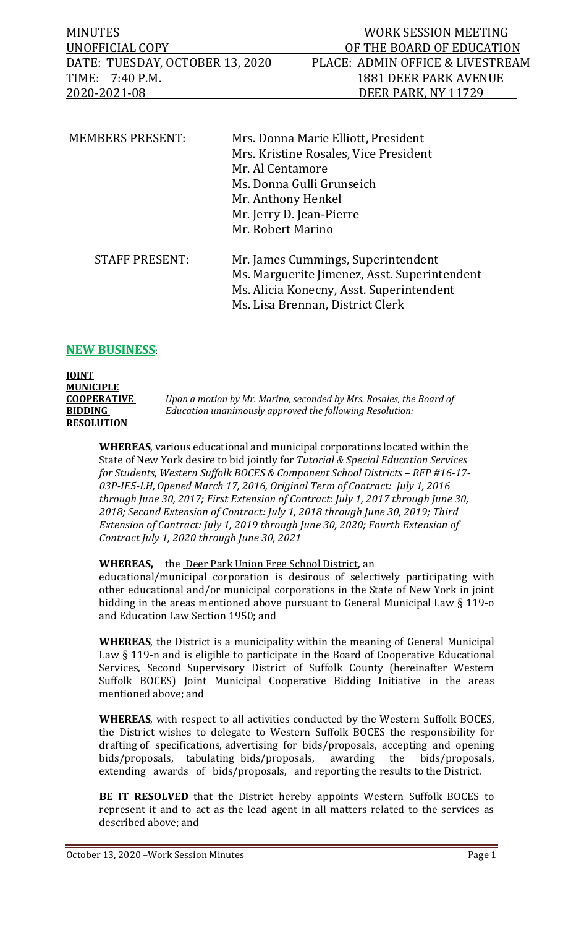| <b>MINUTES</b>                  | WORK SESSION MEETING             |
|---------------------------------|----------------------------------|
| UNOFFICIAL COPY                 | OF THE BOARD OF EDUCATION        |
| DATE: TUESDAY, OCTOBER 13, 2020 | PLACE: ADMIN OFFICE & LIVESTREAM |
| TIME: 7:40 P.M.                 | 1881 DEER PARK AVENUE            |
| 2020-2021-08                    | DEER PARK, NY 11729              |
|                                 |                                  |

| <b>MEMBERS PRESENT:</b> | Mrs. Donna Marie Elliott, President<br>Mrs. Kristine Rosales, Vice President<br>Mr. Al Centamore<br>Ms. Donna Gulli Grunseich<br>Mr. Anthony Henkel<br>Mr. Jerry D. Jean-Pierre<br>Mr. Robert Marino |
|-------------------------|------------------------------------------------------------------------------------------------------------------------------------------------------------------------------------------------------|
| <b>STAFF PRESENT:</b>   | Mr. James Cummings, Superintendent<br>Ms. Marguerite Jimenez, Asst. Superintendent<br>Ms. Alicia Konecny, Asst. Superintendent<br>Ms. Lisa Brennan, District Clerk                                   |

## **NEW BUSINESS**:

**JOINT MUNICIPLE COOPERATIVE** *Upon a motion by Mr. Marino, seconded by Mrs. Rosales, the Board of*  **BIDDING** *Education unanimously approved the following Resolution:* **RESOLUTION**

**WHEREAS**, various educational and municipal corporations located within the State of New York desire to bid jointly for *Tutorial & Special Education Services for Students, Western Suffolk BOCES & Component School Districts – RFP #16-17- 03P-IE5-LH, Opened March 17, 2016, Original Term of Contract: July 1, 2016 through June 30, 2017; First Extension of Contract: July 1, 2017 through June 30, 2018; Second Extension of Contract: July 1, 2018 through June 30, 2019; Third Extension of Contract: July 1, 2019 through June 30, 2020; Fourth Extension of Contract July 1, 2020 through June 30, 2021*

## WHEREAS, the Deer Park Union Free School District, an

educational/municipal corporation is desirous of selectively participating with other educational and/or municipal corporations in the State of New York in joint bidding in the areas mentioned above pursuant to General Municipal Law § 119-o and Education Law Section 1950; and

**WHEREAS**, the District is a municipality within the meaning of General Municipal Law § 119-n and is eligible to participate in the Board of Cooperative Educational Services, Second Supervisory District of Suffolk County (hereinafter Western Suffolk BOCES) Joint Municipal Cooperative Bidding Initiative in the areas mentioned above; and

**WHEREAS**, with respect to all activities conducted by the Western Suffolk BOCES, the District wishes to delegate to Western Suffolk BOCES the responsibility for drafting of specifications, advertising for bids/proposals, accepting and opening bids/proposals, tabulating bids/proposals, awarding the bids/proposals, extending awards of bids/proposals, and reporting the results to the District.

**BE IT RESOLVED** that the District hereby appoints Western Suffolk BOCES to represent it and to act as the lead agent in all matters related to the services as described above; and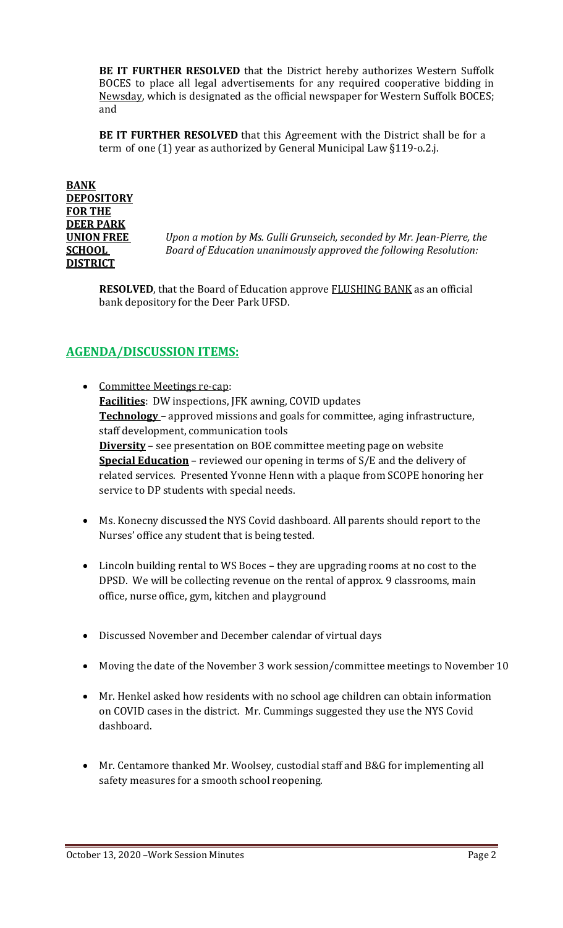**BE IT FURTHER RESOLVED** that the District hereby authorizes Western Suffolk BOCES to place all legal advertisements for any required cooperative bidding in Newsday, which is designated as the official newspaper for Western Suffolk BOCES; and

**BE IT FURTHER RESOLVED** that this Agreement with the District shall be for a term of one (1) year as authorized by General Municipal Law §119-o.2.j.

**BANK DEPOSITORY FOR THE DEER PARK DISTRICT**

**UNION FREE** *Upon a motion by Ms. Gulli Grunseich, seconded by Mr. Jean-Pierre, the*  **SCHOOL** *Board of Education unanimously approved the following Resolution:*

**RESOLVED**, that the Board of Education approve **FLUSHING BANK** as an official bank depository for the Deer Park UFSD.

## **AGENDA/DISCUSSION ITEMS:**

• Committee Meetings re-cap: **Facilities**: DW inspections, JFK awning, COVID updates **Technology** – approved missions and goals for committee, aging infrastructure, staff development, communication tools **Diversity** – see presentation on BOE committee meeting page on website **Special Education** – reviewed our opening in terms of S/E and the delivery of related services. Presented Yvonne Henn with a plaque from SCOPE honoring her service to DP students with special needs.

- Ms. Konecny discussed the NYS Covid dashboard. All parents should report to the Nurses' office any student that is being tested.
- Lincoln building rental to WS Boces they are upgrading rooms at no cost to the DPSD. We will be collecting revenue on the rental of approx. 9 classrooms, main office, nurse office, gym, kitchen and playground
- Discussed November and December calendar of virtual days
- Moving the date of the November 3 work session/committee meetings to November 10
- Mr. Henkel asked how residents with no school age children can obtain information on COVID cases in the district. Mr. Cummings suggested they use the NYS Covid dashboard.
- Mr. Centamore thanked Mr. Woolsey, custodial staff and B&G for implementing all safety measures for a smooth school reopening.